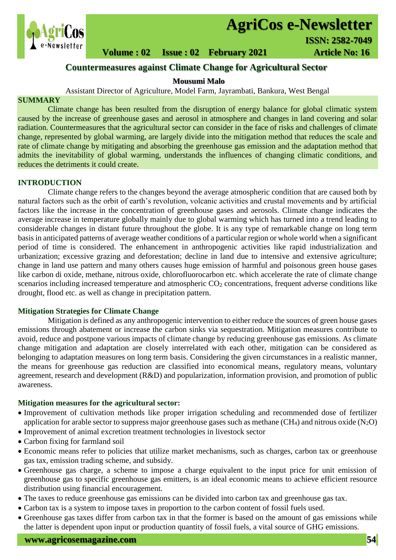

# **AgriCos e-Newsletter**

## **Volume : 02 Issue : 02 February 2021 4rticle No: 16**

### **Countermeasures against Climate Change for Agricultural Sector**

#### **Mousumi Malo**

Assistant Director of Agriculture, Model Farm, Jayrambati, Bankura, West Bengal

#### **SUMMARY**

 Climate change has been resulted from the disruption of energy balance for global climatic system caused by the increase of greenhouse gases and aerosol in atmosphere and changes in land covering and solar radiation. Countermeasures that the agricultural sector can consider in the face of risks and challenges of climate change, represented by global warming, are largely divide into the mitigation method that reduces the scale and rate of climate change by mitigating and absorbing the greenhouse gas emission and the adaptation method that admits the inevitability of global warming, understands the influences of changing climatic conditions, and reduces the detriments it could create.

#### **INTRODUCTION**

Climate change refers to the changes beyond the average atmospheric condition that are caused both by natural factors such as the orbit of earth's revolution, volcanic activities and crustal movements and by artificial factors like the increase in the concentration of greenhouse gases and aerosols. Climate change indicates the average increase in temperature globally mainly due to global warming which has turned into a trend leading to considerable changes in distant future throughout the globe. It is any type of remarkable change on long term basis in anticipated patterns of average weather conditions of a particular region or whole world when a significant period of time is considered. The enhancement in anthropogenic activities like rapid industrialization and urbanization; excessive grazing and deforestation; decline in land due to intensive and extensive agriculture; change in land use pattern and many others causes huge emission of harmful and poisonous green house gases like carbon di oxide, methane, nitrous oxide, chlorofluorocarbon etc. which accelerate the rate of climate change scenarios including increased temperature and atmospheric  $CO<sub>2</sub>$  concentrations, frequent adverse conditions like drought, flood etc. as well as change in precipitation pattern.

#### **Mitigation Strategies for Climate Change**

Mitigation is defined as any anthropogenic intervention to either reduce the sources of green house gases emissions through abatement or increase the carbon sinks via sequestration. Mitigation measures contribute to avoid, reduce and postpone various impacts of climate change by reducing greenhouse gas emissions. As climate change mitigation and adaptation are closely interrelated with each other, mitigation can be considered as belonging to adaptation measures on long term basis. Considering the given circumstances in a realistic manner, the means for greenhouse gas reduction are classified into economical means, regulatory means, voluntary agreement, research and development (R&D) and popularization, information provision, and promotion of public awareness.

#### **Mitigation measures for the agricultural sector:**

- Improvement of cultivation methods like proper irrigation scheduling and recommended dose of fertilizer application for arable sector to suppress major greenhouse gases such as methane (CH<sub>4</sub>) and nitrous oxide (N<sub>2</sub>O)
- Improvement of animal excretion treatment technologies in livestock sector
- Carbon fixing for farmland soil
- Economic means refer to policies that utilize market mechanisms, such as charges, carbon tax or greenhouse gas tax, emission trading scheme, and subsidy.
- Greenhouse gas charge, a scheme to impose a charge equivalent to the input price for unit emission of greenhouse gas to specific greenhouse gas emitters, is an ideal economic means to achieve efficient resource distribution using financial encouragement.
- The taxes to reduce greenhouse gas emissions can be divided into carbon tax and greenhouse gas tax.
- Carbon tax is a system to impose taxes in proportion to the carbon content of fossil fuels used.
- Greenhouse gas taxes differ from carbon tax in that the former is based on the amount of gas emissions while the latter is dependent upon input or production quantity of fossil fuels, a vital source of GHG emissions.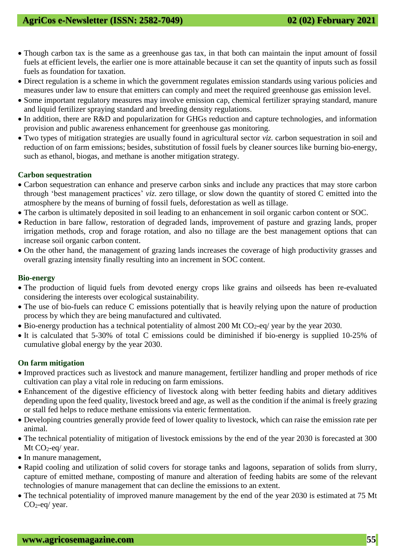- Though carbon tax is the same as a greenhouse gas tax, in that both can maintain the input amount of fossil fuels at efficient levels, the earlier one is more attainable because it can set the quantity of inputs such as fossil fuels as foundation for taxation.
- Direct regulation is a scheme in which the government regulates emission standards using various policies and measures under law to ensure that emitters can comply and meet the required greenhouse gas emission level.
- Some important regulatory measures may involve emission cap, chemical fertilizer spraying standard, manure and liquid fertilizer spraying standard and breeding density regulations.
- In addition, there are R&D and popularization for GHGs reduction and capture technologies, and information provision and public awareness enhancement for greenhouse gas monitoring.
- Two types of mitigation strategies are usually found in agricultural sector *viz.* carbon sequestration in soil and reduction of on farm emissions; besides, substitution of fossil fuels by cleaner sources like burning bio-energy, such as ethanol, biogas, and methane is another mitigation strategy.

#### **Carbon sequestration**

- Carbon sequestration can enhance and preserve carbon sinks and include any practices that may store carbon through 'best management practices' *viz*. zero tillage, or slow down the quantity of stored C emitted into the atmosphere by the means of burning of fossil fuels, deforestation as well as tillage.
- The carbon is ultimately deposited in soil leading to an enhancement in soil organic carbon content or SOC.
- Reduction in bare fallow, restoration of degraded lands, improvement of pasture and grazing lands, proper irrigation methods, crop and forage rotation, and also no tillage are the best management options that can increase soil organic carbon content.
- On the other hand, the management of grazing lands increases the coverage of high productivity grasses and overall grazing intensity finally resulting into an increment in SOC content.

#### **Bio-energy**

- The production of liquid fuels from devoted energy crops like grains and oilseeds has been re-evaluated considering the interests over ecological sustainability.
- The use of bio-fuels can reduce C emissions potentially that is heavily relying upon the nature of production process by which they are being manufactured and cultivated.
- $\bullet$  Bio-energy production has a technical potentiality of almost 200 Mt CO<sub>2</sub>-eq/ year by the year 2030.
- It is calculated that 5-30% of total C emissions could be diminished if bio-energy is supplied 10-25% of cumulative global energy by the year 2030.

#### **On farm mitigation**

- Improved practices such as livestock and manure management, fertilizer handling and proper methods of rice cultivation can play a vital role in reducing on farm emissions.
- Enhancement of the digestive efficiency of livestock along with better feeding habits and dietary additives depending upon the feed quality, livestock breed and age, as well as the condition if the animal is freely grazing or stall fed helps to reduce methane emissions via enteric fermentation.
- Developing countries generally provide feed of lower quality to livestock, which can raise the emission rate per animal.
- The technical potentiality of mitigation of livestock emissions by the end of the year 2030 is forecasted at 300 Mt  $CO<sub>2</sub>$ -eq/ year.
- In manure management,
- Rapid cooling and utilization of solid covers for storage tanks and lagoons, separation of solids from slurry, capture of emitted methane, composting of manure and alteration of feeding habits are some of the relevant technologies of manure management that can decline the emissions to an extent.
- The technical potentiality of improved manure management by the end of the year 2030 is estimated at 75 Mt CO2-eq/ year.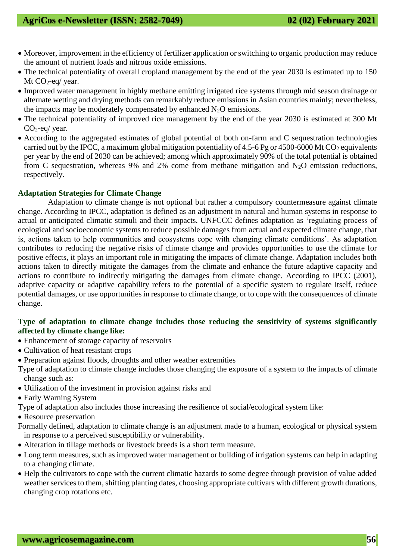- Moreover, improvement in the efficiency of fertilizer application or switching to organic production may reduce the amount of nutrient loads and nitrous oxide emissions.
- The technical potentiality of overall cropland management by the end of the year 2030 is estimated up to 150 Mt CO<sub>2</sub>-eq/ year.
- Improved water management in highly methane emitting irrigated rice systems through mid season drainage or alternate wetting and drying methods can remarkably reduce emissions in Asian countries mainly; nevertheless, the impacts may be moderately compensated by enhanced  $N_2O$  emissions.
- The technical potentiality of improved rice management by the end of the year 2030 is estimated at 300 Mt CO2-eq/ year.
- According to the aggregated estimates of global potential of both on-farm and C sequestration technologies carried out by the IPCC, a maximum global mitigation potentiality of 4.5-6 Pg or 4500-6000 Mt CO<sub>2</sub> equivalents per year by the end of 2030 can be achieved; among which approximately 90% of the total potential is obtained from C sequestration, whereas 9% and 2% come from methane mitigation and N2O emission reductions, respectively.

#### **Adaptation Strategies for Climate Change**

Adaptation to climate change is not optional but rather a compulsory countermeasure against climate change. According to IPCC, adaptation is defined as an adjustment in natural and human systems in response to actual or anticipated climatic stimuli and their impacts. UNFCCC defines adaptation as 'regulating process of ecological and socioeconomic systems to reduce possible damages from actual and expected climate change, that is, actions taken to help communities and ecosystems cope with changing climate conditions'. As adaptation contributes to reducing the negative risks of climate change and provides opportunities to use the climate for positive effects, it plays an important role in mitigating the impacts of climate change. Adaptation includes both actions taken to directly mitigate the damages from the climate and enhance the future adaptive capacity and actions to contribute to indirectly mitigating the damages from climate change. According to IPCC (2001), adaptive capacity or adaptive capability refers to the potential of a specific system to regulate itself, reduce potential damages, or use opportunities in response to climate change, or to cope with the consequences of climate change.

#### **Type of adaptation to climate change includes those reducing the sensitivity of systems significantly affected by climate change like:**

- Enhancement of storage capacity of reservoirs
- Cultivation of heat resistant crops
- Preparation against floods, droughts and other weather extremities
- Type of adaptation to climate change includes those changing the exposure of a system to the impacts of climate change such as:
- Utilization of the investment in provision against risks and
- Early Warning System
- Type of adaptation also includes those increasing the resilience of social/ecological system like:
- Resource preservation
- Formally defined, adaptation to climate change is an adjustment made to a human, ecological or physical system in response to a perceived susceptibility or vulnerability.
- Alteration in tillage methods or livestock breeds is a short term measure.
- Long term measures, such as improved water management or building of irrigation systems can help in adapting to a changing climate.
- Help the cultivators to cope with the current climatic hazards to some degree through provision of value added weather services to them, shifting planting dates, choosing appropriate cultivars with different growth durations, changing crop rotations etc.